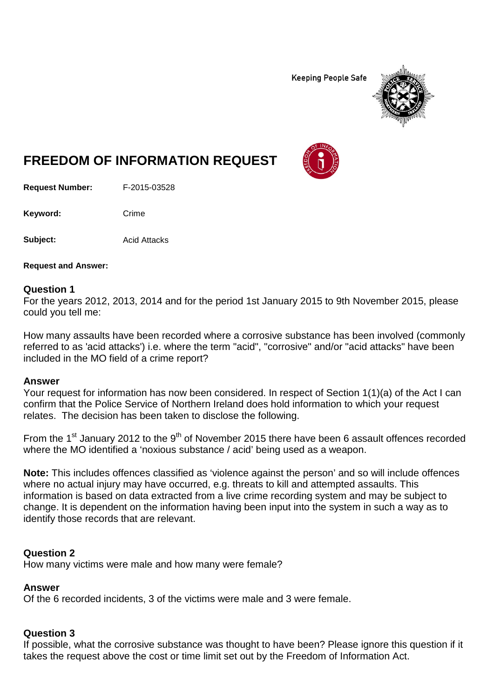**Keeping People Safe** 



# **FREEDOM OF INFORMATION REQUEST**

**Request Number:** F-2015-03528

Keyword: Crime

**Subject:** Acid Attacks

**Request and Answer:**

#### **Question 1**

For the years 2012, 2013, 2014 and for the period 1st January 2015 to 9th November 2015, please could you tell me:

How many assaults have been recorded where a corrosive substance has been involved (commonly referred to as 'acid attacks') i.e. where the term "acid", "corrosive" and/or "acid attacks" have been included in the MO field of a crime report?

#### **Answer**

Your request for information has now been considered. In respect of Section 1(1)(a) of the Act I can confirm that the Police Service of Northern Ireland does hold information to which your request relates. The decision has been taken to disclose the following.

From the 1<sup>st</sup> January 2012 to the 9<sup>th</sup> of November 2015 there have been 6 assault offences recorded where the MO identified a 'noxious substance / acid' being used as a weapon.

**Note:** This includes offences classified as 'violence against the person' and so will include offences where no actual injury may have occurred, e.g. threats to kill and attempted assaults. This information is based on data extracted from a live crime recording system and may be subject to change. It is dependent on the information having been input into the system in such a way as to identify those records that are relevant.

## **Question 2**

How many victims were male and how many were female?

# **Answer**

Of the 6 recorded incidents, 3 of the victims were male and 3 were female.

# **Question 3**

If possible, what the corrosive substance was thought to have been? Please ignore this question if it takes the request above the cost or time limit set out by the Freedom of Information Act.